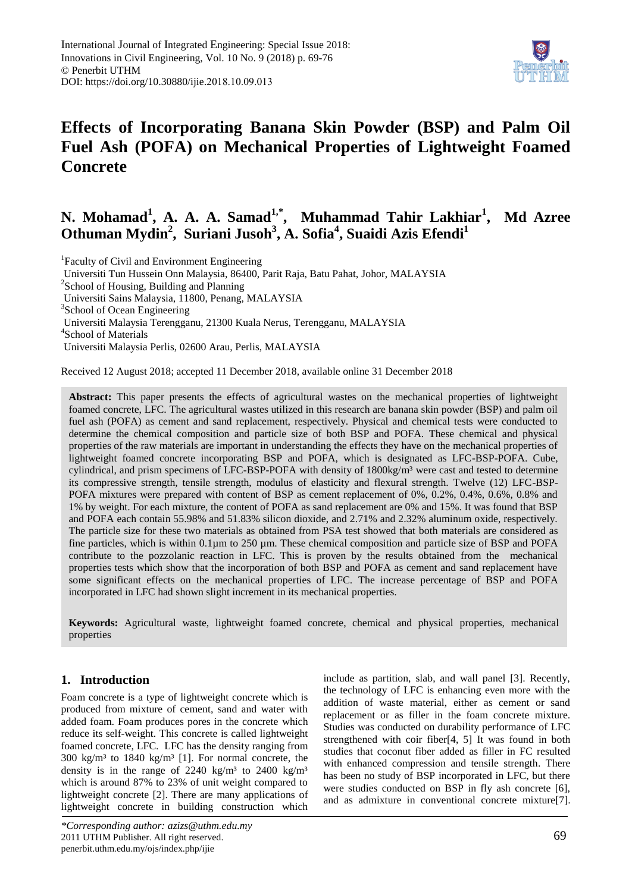

# **Effects of Incorporating Banana Skin Powder (BSP) and Palm Oil Fuel Ash (POFA) on Mechanical Properties of Lightweight Foamed Concrete**

# **N. Mohamad<sup>1</sup> , A. A. A. Samad1,\* , Muhammad Tahir Lakhiar<sup>1</sup> , Md Azree Othuman Mydin<sup>2</sup> , Suriani Jusoh<sup>3</sup> , A. Sofia<sup>4</sup> , Suaidi Azis Efendi<sup>1</sup>**

<sup>1</sup> Faculty of Civil and Environment Engineering Universiti Tun Hussein Onn Malaysia, 86400, Parit Raja, Batu Pahat, Johor, MALAYSIA <sup>2</sup>School of Housing, Building and Planning Universiti Sains Malaysia, 11800, Penang, MALAYSIA <sup>3</sup>School of Ocean Engineering Universiti Malaysia Terengganu, 21300 Kuala Nerus, Terengganu, MALAYSIA 4 School of Materials Universiti Malaysia Perlis, 02600 Arau, Perlis, MALAYSIA

Received 12 August 2018; accepted 11 December 2018, available online 31 December 2018

**Abstract:** This paper presents the effects of agricultural wastes on the mechanical properties of lightweight foamed concrete, LFC. The agricultural wastes utilized in this research are banana skin powder (BSP) and palm oil fuel ash (POFA) as cement and sand replacement, respectively. Physical and chemical tests were conducted to determine the chemical composition and particle size of both BSP and POFA. These chemical and physical properties of the raw materials are important in understanding the effects they have on the mechanical properties of lightweight foamed concrete incorporating BSP and POFA, which is designated as LFC-BSP-POFA. Cube, cylindrical, and prism specimens of LFC-BSP-POFA with density of 1800kg/m<sup>3</sup> were cast and tested to determine its compressive strength, tensile strength, modulus of elasticity and flexural strength. Twelve (12) LFC-BSP-POFA mixtures were prepared with content of BSP as cement replacement of 0%, 0.2%, 0.4%, 0.6%, 0.8% and 1% by weight. For each mixture, the content of POFA as sand replacement are 0% and 15%. It was found that BSP and POFA each contain 55.98% and 51.83% silicon dioxide, and 2.71% and 2.32% aluminum oxide, respectively. The particle size for these two materials as obtained from PSA test showed that both materials are considered as fine particles, which is within 0.1µm to 250 µm. These chemical composition and particle size of BSP and POFA contribute to the pozzolanic reaction in LFC. This is proven by the results obtained from the mechanical properties tests which show that the incorporation of both BSP and POFA as cement and sand replacement have some significant effects on the mechanical properties of LFC. The increase percentage of BSP and POFA incorporated in LFC had shown slight increment in its mechanical properties.

**Keywords:** Agricultural waste, lightweight foamed concrete, chemical and physical properties, mechanical properties

# **1. Introduction**

Foam concrete is a type of lightweight concrete which is produced from mixture of cement, sand and water with added foam. Foam produces pores in the concrete which reduce its self-weight. This concrete is called lightweight foamed concrete, LFC. LFC has the density ranging from  $300 \text{ kg/m}^3$  to  $1840 \text{ kg/m}^3$  [1]. For normal concrete, the density is in the range of 2240 kg/m<sup>3</sup> to 2400 kg/m<sup>3</sup> which is around 87% to 23% of unit weight compared to lightweight concrete [2]. There are many applications of lightweight concrete in building construction which

include as partition, slab, and wall panel [3]. Recently, the technology of LFC is enhancing even more with the addition of waste material, either as cement or sand replacement or as filler in the foam concrete mixture. Studies was conducted on durability performance of LFC strengthened with coir fiber[4, 5] It was found in both studies that coconut fiber added as filler in FC resulted with enhanced compression and tensile strength. There has been no study of BSP incorporated in LFC, but there were studies conducted on BSP in fly ash concrete [6], and as admixture in conventional concrete mixture[7].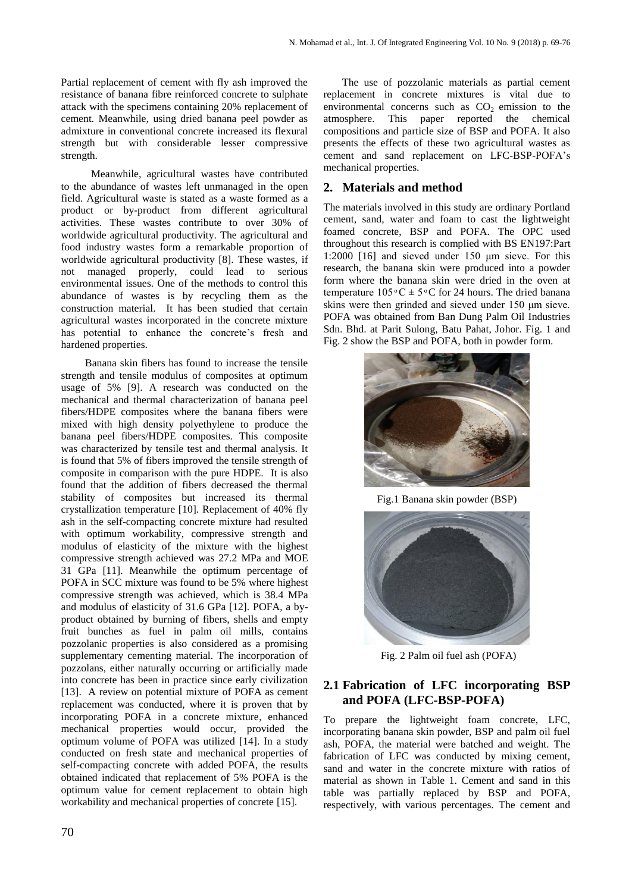Partial replacement of cement with fly ash improved the resistance of banana fibre reinforced concrete to sulphate attack with the specimens containing 20% replacement of cement. Meanwhile, using dried banana peel powder as admixture in conventional concrete increased its flexural strength but with considerable lesser compressive strength.

Meanwhile, agricultural wastes have contributed to the abundance of wastes left unmanaged in the open field. Agricultural waste is stated as a waste formed as a product or by-product from different agricultural activities. These wastes contribute to over 30% of worldwide agricultural productivity. The agricultural and food industry wastes form a remarkable proportion of worldwide agricultural productivity [8]. These wastes, if not managed properly, could lead to serious environmental issues. One of the methods to control this abundance of wastes is by recycling them as the construction material. It has been studied that certain agricultural wastes incorporated in the concrete mixture has potential to enhance the concrete's fresh and hardened properties.

 Banana skin fibers has found to increase the tensile strength and tensile modulus of composites at optimum usage of 5% [9]. A research was conducted on the mechanical and thermal characterization of banana peel fibers/HDPE composites where the banana fibers were mixed with high density polyethylene to produce the banana peel fibers/HDPE composites. This composite was characterized by tensile test and thermal analysis. It is found that 5% of fibers improved the tensile strength of composite in comparison with the pure HDPE. It is also found that the addition of fibers decreased the thermal stability of composites but increased its thermal crystallization temperature [10]. Replacement of 40% fly ash in the self-compacting concrete mixture had resulted with optimum workability, compressive strength and modulus of elasticity of the mixture with the highest compressive strength achieved was 27.2 MPa and MOE 31 GPa [11]. Meanwhile the optimum percentage of POFA in SCC mixture was found to be 5% where highest compressive strength was achieved, which is 38.4 MPa and modulus of elasticity of 31.6 GPa [12]. POFA, a byproduct obtained by burning of fibers, shells and empty fruit bunches as fuel in palm oil mills, contains pozzolanic properties is also considered as a promising supplementary cementing material. The incorporation of pozzolans, either naturally occurring or artificially made into concrete has been in practice since early civilization [13]. A review on potential mixture of POFA as cement replacement was conducted, where it is proven that by incorporating POFA in a concrete mixture, enhanced mechanical properties would occur, provided the optimum volume of POFA was utilized [14]. In a study conducted on fresh state and mechanical properties of self-compacting concrete with added POFA, the results obtained indicated that replacement of 5% POFA is the optimum value for cement replacement to obtain high workability and mechanical properties of concrete [15].

 The use of pozzolanic materials as partial cement replacement in concrete mixtures is vital due to environmental concerns such as  $CO<sub>2</sub>$  emission to the atmosphere. This paper reported the chemical compositions and particle size of BSP and POFA. It also presents the effects of these two agricultural wastes as cement and sand replacement on LFC-BSP-POFA's mechanical properties.

## **2. Materials and method**

The materials involved in this study are ordinary Portland cement, sand, water and foam to cast the lightweight foamed concrete, BSP and POFA. The OPC used throughout this research is complied with BS EN197:Part 1:2000 [16] and sieved under 150 μm sieve. For this research, the banana skin were produced into a powder form where the banana skin were dried in the oven at temperature  $105\text{°C} \pm 5\text{°C}$  for 24 hours. The dried banana skins were then grinded and sieved under 150 μm sieve. POFA was obtained from Ban Dung Palm Oil Industries Sdn. Bhd. at Parit Sulong, Batu Pahat, Johor. Fig. 1 and Fig. 2 show the BSP and POFA, both in powder form.



Fig.1 Banana skin powder (BSP)



Fig. 2 Palm oil fuel ash (POFA)

## **2.1 Fabrication of LFC incorporating BSP and POFA (LFC-BSP-POFA)**

To prepare the lightweight foam concrete, LFC, incorporating banana skin powder, BSP and palm oil fuel ash, POFA, the material were batched and weight. The fabrication of LFC was conducted by mixing cement, sand and water in the concrete mixture with ratios of material as shown in Table 1. Cement and sand in this table was partially replaced by BSP and POFA, respectively, with various percentages. The cement and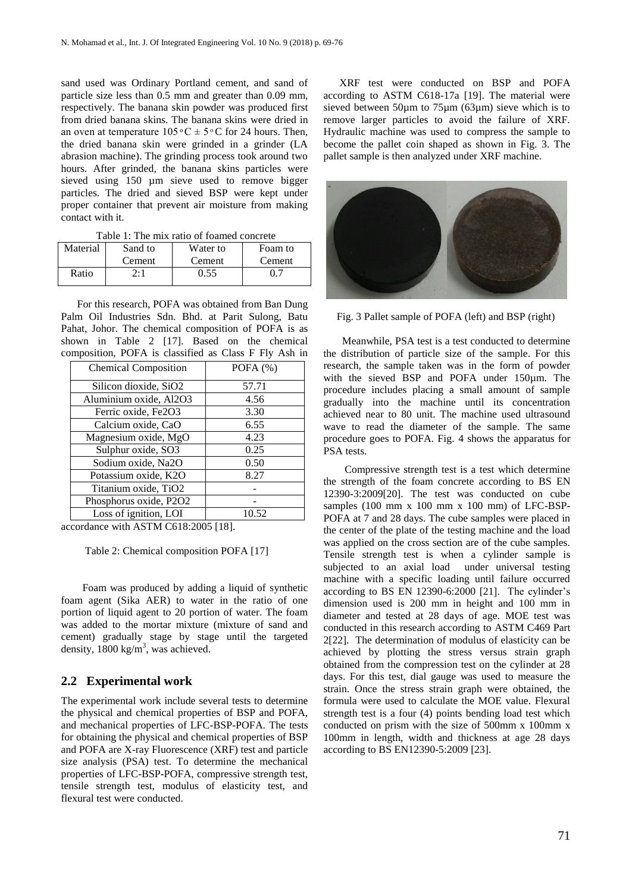sand used was Ordinary Portland cement, and sand of particle size less than 0.5 mm and greater than 0.09 mm, respectively. The banana skin powder was produced first from dried banana skins. The banana skins were dried in an oven at temperature  $105\degree C \pm 5\degree C$  for 24 hours. Then, the dried banana skin were grinded in a grinder (LA abrasion machine). The grinding process took around two hours. After grinded, the banana skins particles were sieved using 150 µm sieve used to remove bigger particles. The dried and sieved BSP were kept under proper container that prevent air moisture from making contact with it.

| Material | Sand to | Water to | Foam to |  |  |
|----------|---------|----------|---------|--|--|
|          | Cement  | Cement   | Cement  |  |  |
| Ratio    | 2:1     | 0.55     | 0.      |  |  |

Table 1: The mix ratio of foamed concrete

For this research, POFA was obtained from Ban Dung Palm Oil Industries Sdn. Bhd. at Parit Sulong, Batu Pahat, Johor. The chemical composition of POFA is as shown in Table 2 [17]. Based on the chemical composition, POFA is classified as Class F Fly Ash in

| <b>Chemical Composition</b> | POFA $(%)$ |  |
|-----------------------------|------------|--|
| Silicon dioxide, SiO2       | 57.71      |  |
| Aluminium oxide, Al2O3      | 4.56       |  |
| Ferric oxide, Fe2O3         | 3.30       |  |
| Calcium oxide, CaO          | 6.55       |  |
| Magnesium oxide, MgO        | 4.23       |  |
| Sulphur oxide, SO3          | 0.25       |  |
| Sodium oxide, Na2O          | 0.50       |  |
| Potassium oxide, K2O        | 8.27       |  |
| Titanium oxide, TiO2        |            |  |
| Phosphorus oxide, P2O2      |            |  |
| Loss of ignition, LOI       | 10.52      |  |

accordance with ASTM C618:2005 [18].

Table 2: Chemical composition POFA [17]

 Foam was produced by adding a liquid of synthetic foam agent (Sika AER) to water in the ratio of one portion of liquid agent to 20 portion of water. The foam was added to the mortar mixture (mixture of sand and cement) gradually stage by stage until the targeted density,  $1800 \text{ kg/m}^3$ , was achieved.

## **2.2 Experimental work**

The experimental work include several tests to determine the physical and chemical properties of BSP and POFA, and mechanical properties of LFC-BSP-POFA. The tests for obtaining the physical and chemical properties of BSP and POFA are X-ray Fluorescence (XRF) test and particle size analysis (PSA) test. To determine the mechanical properties of LFC-BSP-POFA, compressive strength test, tensile strength test, modulus of elasticity test, and flexural test were conducted.

 XRF test were conducted on BSP and POFA according to ASTM C618-17a [19]. The material were sieved between 50µm to 75µm (63µm) sieve which is to remove larger particles to avoid the failure of XRF. Hydraulic machine was used to compress the sample to become the pallet coin shaped as shown in Fig. 3. The pallet sample is then analyzed under XRF machine.



Fig. 3 Pallet sample of POFA (left) and BSP (right)

 Meanwhile, PSA test is a test conducted to determine the distribution of particle size of the sample. For this research, the sample taken was in the form of powder with the sieved BSP and POFA under 150µm. The procedure includes placing a small amount of sample gradually into the machine until its concentration achieved near to 80 unit. The machine used ultrasound wave to read the diameter of the sample. The same procedure goes to POFA. Fig. 4 shows the apparatus for PSA tests.

 Compressive strength test is a test which determine the strength of the foam concrete according to BS EN 12390-3:2009[20]. The test was conducted on cube samples  $(100 \text{ mm} \times 100 \text{ mm} \times 100 \text{ mm})$  of LFC-BSP-POFA at 7 and 28 days. The cube samples were placed in the center of the plate of the testing machine and the load was applied on the cross section are of the cube samples. Tensile strength test is when a cylinder sample is subjected to an axial load under universal testing machine with a specific loading until failure occurred according to BS EN 12390-6:2000 [21]. The cylinder's dimension used is 200 mm in height and 100 mm in diameter and tested at 28 days of age. MOE test was conducted in this research according to ASTM C469 Part 2[22]. The determination of modulus of elasticity can be achieved by plotting the stress versus strain graph obtained from the compression test on the cylinder at 28 days. For this test, dial gauge was used to measure the strain. Once the stress strain graph were obtained, the formula were used to calculate the MOE value. Flexural strength test is a four (4) points bending load test which conducted on prism with the size of 500mm x 100mm x 100mm in length, width and thickness at age 28 days according to BS EN12390-5:2009 [23].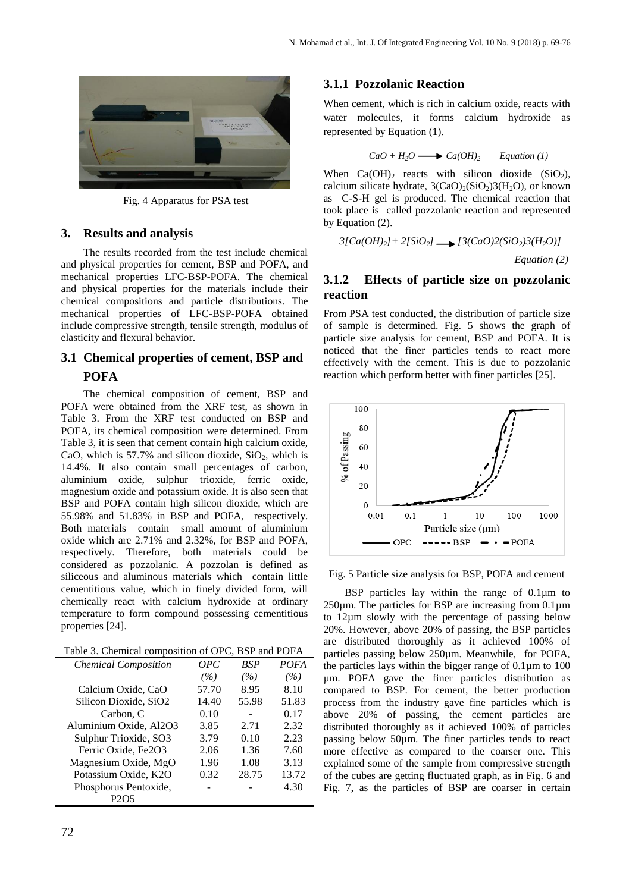

Fig. 4 Apparatus for PSA test

## **3. Results and analysis**

The results recorded from the test include chemical and physical properties for cement, BSP and POFA, and mechanical properties LFC-BSP-POFA. The chemical and physical properties for the materials include their chemical compositions and particle distributions. The mechanical properties of LFC-BSP-POFA obtained include compressive strength, tensile strength, modulus of elasticity and flexural behavior.

# **3.1 Chemical properties of cement, BSP and POFA**

The chemical composition of cement, BSP and POFA were obtained from the XRF test, as shown in Table 3. From the XRF test conducted on BSP and POFA, its chemical composition were determined. From Table 3, it is seen that cement contain high calcium oxide, CaO, which is  $57.7\%$  and silicon dioxide,  $SiO<sub>2</sub>$ , which is 14.4%. It also contain small percentages of carbon, aluminium oxide, sulphur trioxide, ferric oxide, magnesium oxide and potassium oxide. It is also seen that BSP and POFA contain high silicon dioxide, which are 55.98% and 51.83% in BSP and POFA, respectively. Both materials contain small amount of aluminium oxide which are 2.71% and 2.32%, for BSP and POFA, respectively. Therefore, both materials could be considered as pozzolanic. A pozzolan is defined as siliceous and aluminous materials which contain little cementitious value, which in finely divided form, will chemically react with calcium hydroxide at ordinary temperature to form compound possessing cementitious properties [24].

Table 3. Chemical composition of OPC, BSP and POFA

| <b>Chemical Composition</b>   | OPC   | BSP   | <b>POFA</b> |
|-------------------------------|-------|-------|-------------|
|                               | (%)   | (%)   | (%)         |
| Calcium Oxide, CaO            | 57.70 | 8.95  | 8.10        |
| Silicon Dioxide, SiO2         | 14.40 | 55.98 | 51.83       |
| Carbon, C                     | 0.10  |       | 0.17        |
| Aluminium Oxide, Al2O3        | 3.85  | 2.71  | 2.32        |
| Sulphur Trioxide, SO3         | 3.79  | 0.10  | 2.23        |
| Ferric Oxide, Fe2O3           | 2.06  | 1.36  | 7.60        |
| Magnesium Oxide, MgO          | 1.96  | 1.08  | 3.13        |
| Potassium Oxide, K2O          | 0.32  | 28.75 | 13.72       |
| Phosphorus Pentoxide,         |       |       | 4.30        |
| P <sub>2</sub> O <sub>5</sub> |       |       |             |

### **3.1.1 Pozzolanic Reaction**

When cement, which is rich in calcium oxide, reacts with water molecules, it forms calcium hydroxide as represented by Equation (1).

$$
CaO + H_2O \longrightarrow Ca(OH)_2
$$
 Equation (1)

When  $Ca(OH)_2$  reacts with silicon dioxide  $(SiO_2)$ , calcium silicate hydrate,  $3(CaO)_{2}(SiO_{2})3(H_{2}O)$ , or known as C-S-H gel is produced. The chemical reaction that took place is called pozzolanic reaction and represented by Equation (2).

$$
3[Ca(OH)_2] + 2[SiO_2] \longrightarrow [3(CaO)2(SiO_2)3(H_2O)]
$$

*Equation (2)*

## **3.1.2 Effects of particle size on pozzolanic reaction**

From PSA test conducted, the distribution of particle size of sample is determined. Fig. 5 shows the graph of particle size analysis for cement, BSP and POFA. It is noticed that the finer particles tends to react more effectively with the cement. This is due to pozzolanic reaction which perform better with finer particles [25].



Fig. 5 Particle size analysis for BSP, POFA and cement

BSP particles lay within the range of 0.1 $\mu$ m to  $250\mu$ m. The particles for BSP are increasing from  $0.1\mu$ m to 12µm slowly with the percentage of passing below 20%. However, above 20% of passing, the BSP particles are distributed thoroughly as it achieved 100% of particles passing below 250µm. Meanwhile, for POFA, the particles lays within the bigger range of  $0.1\mu$ m to  $100$ µm. POFA gave the finer particles distribution as compared to BSP. For cement, the better production process from the industry gave fine particles which is above 20% of passing, the cement particles are distributed thoroughly as it achieved 100% of particles passing below 50µm. The finer particles tends to react more effective as compared to the coarser one. This explained some of the sample from compressive strength of the cubes are getting fluctuated graph, as in Fig. 6 and Fig. 7, as the particles of BSP are coarser in certain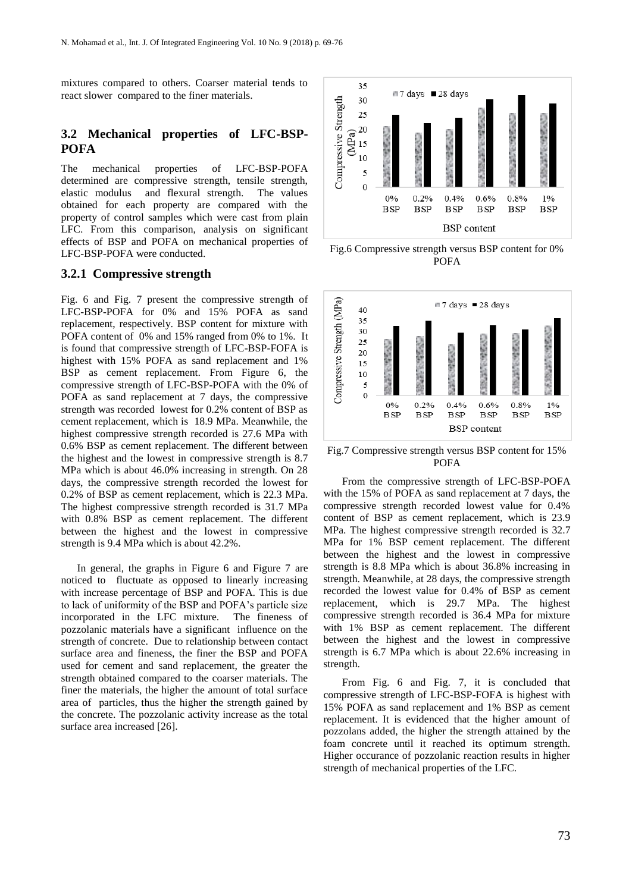mixtures compared to others. Coarser material tends to react slower compared to the finer materials.

## **3.2 Mechanical properties of LFC-BSP-POFA**

The mechanical properties of LFC-BSP-POFA determined are compressive strength, tensile strength, elastic modulus and flexural strength. The values obtained for each property are compared with the property of control samples which were cast from plain LFC. From this comparison, analysis on significant effects of BSP and POFA on mechanical properties of LFC-BSP-POFA were conducted.

#### **3.2.1 Compressive strength**

Fig. 6 and Fig. 7 present the compressive strength of LFC-BSP-POFA for 0% and 15% POFA as sand replacement, respectively. BSP content for mixture with POFA content of 0% and 15% ranged from 0% to 1%. It is found that compressive strength of LFC-BSP-FOFA is highest with 15% POFA as sand replacement and 1% BSP as cement replacement. From Figure 6, the compressive strength of LFC-BSP-POFA with the 0% of POFA as sand replacement at 7 days, the compressive strength was recorded lowest for 0.2% content of BSP as cement replacement, which is 18.9 MPa. Meanwhile, the highest compressive strength recorded is 27.6 MPa with 0.6% BSP as cement replacement. The different between the highest and the lowest in compressive strength is 8.7 MPa which is about 46.0% increasing in strength. On 28 days, the compressive strength recorded the lowest for 0.2% of BSP as cement replacement, which is 22.3 MPa. The highest compressive strength recorded is 31.7 MPa with 0.8% BSP as cement replacement. The different between the highest and the lowest in compressive strength is 9.4 MPa which is about 42.2%.

 In general, the graphs in Figure 6 and Figure 7 are noticed to fluctuate as opposed to linearly increasing with increase percentage of BSP and POFA. This is due to lack of uniformity of the BSP and POFA's particle size incorporated in the LFC mixture. The fineness of pozzolanic materials have a significant influence on the strength of concrete. Due to relationship between contact surface area and fineness, the finer the BSP and POFA used for cement and sand replacement, the greater the strength obtained compared to the coarser materials. The finer the materials, the higher the amount of total surface area of particles, thus the higher the strength gained by the concrete. The pozzolanic activity increase as the total surface area increased [26].



Fig.6 Compressive strength versus BSP content for 0% POFA



Fig.7 Compressive strength versus BSP content for 15% POFA

 From the compressive strength of LFC-BSP-POFA with the 15% of POFA as sand replacement at 7 days, the compressive strength recorded lowest value for 0.4% content of BSP as cement replacement, which is 23.9 MPa. The highest compressive strength recorded is 32.7 MPa for 1% BSP cement replacement. The different between the highest and the lowest in compressive strength is 8.8 MPa which is about 36.8% increasing in strength. Meanwhile, at 28 days, the compressive strength recorded the lowest value for 0.4% of BSP as cement replacement, which is 29.7 MPa. The highest compressive strength recorded is 36.4 MPa for mixture with 1% BSP as cement replacement. The different between the highest and the lowest in compressive strength is 6.7 MPa which is about 22.6% increasing in strength.

 From Fig. 6 and Fig. 7, it is concluded that compressive strength of LFC-BSP-FOFA is highest with 15% POFA as sand replacement and 1% BSP as cement replacement. It is evidenced that the higher amount of pozzolans added, the higher the strength attained by the foam concrete until it reached its optimum strength. Higher occurance of pozzolanic reaction results in higher strength of mechanical properties of the LFC.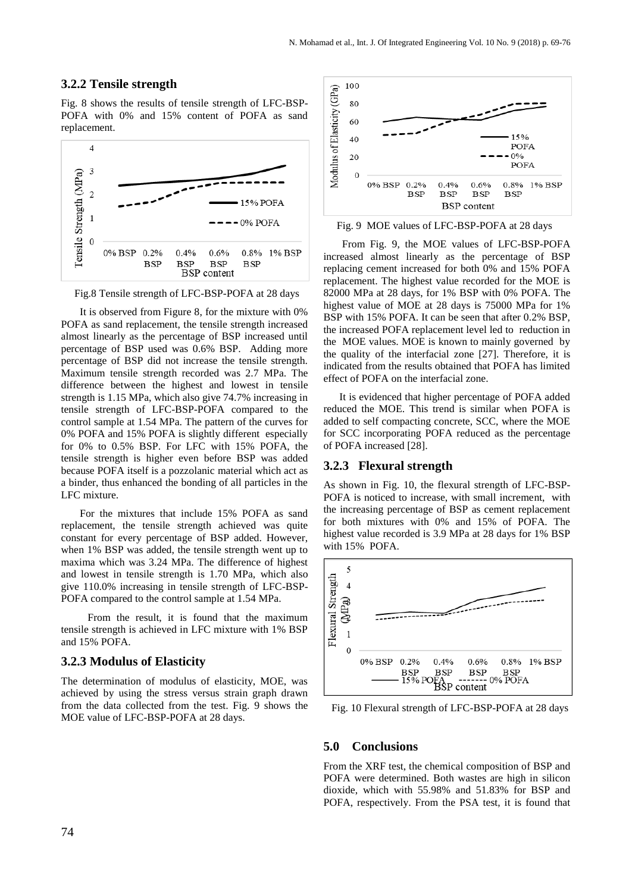#### **3.2.2 Tensile strength**

Fig. 8 shows the results of tensile strength of LFC-BSP-POFA with 0% and 15% content of POFA as sand replacement.



Fig.8 Tensile strength of LFC-BSP-POFA at 28 days

 It is observed from Figure 8, for the mixture with 0% POFA as sand replacement, the tensile strength increased almost linearly as the percentage of BSP increased until percentage of BSP used was 0.6% BSP. Adding more percentage of BSP did not increase the tensile strength. Maximum tensile strength recorded was 2.7 MPa. The difference between the highest and lowest in tensile strength is 1.15 MPa, which also give 74.7% increasing in tensile strength of LFC-BSP-POFA compared to the control sample at 1.54 MPa. The pattern of the curves for 0% POFA and 15% POFA is slightly different especially for 0% to 0.5% BSP. For LFC with 15% POFA, the tensile strength is higher even before BSP was added because POFA itself is a pozzolanic material which act as a binder, thus enhanced the bonding of all particles in the LFC mixture.

 For the mixtures that include 15% POFA as sand replacement, the tensile strength achieved was quite constant for every percentage of BSP added. However, when 1% BSP was added, the tensile strength went up to maxima which was 3.24 MPa. The difference of highest and lowest in tensile strength is 1.70 MPa, which also give 110.0% increasing in tensile strength of LFC-BSP-POFA compared to the control sample at 1.54 MPa.

 From the result, it is found that the maximum tensile strength is achieved in LFC mixture with 1% BSP and 15% POFA.

#### **3.2.3 Modulus of Elasticity**

The determination of modulus of elasticity, MOE, was achieved by using the stress versus strain graph drawn from the data collected from the test. Fig. 9 shows the MOE value of LFC-BSP-POFA at 28 days.



Fig. 9 MOE values of LFC-BSP-POFA at 28 days

 From Fig. 9, the MOE values of LFC-BSP-POFA increased almost linearly as the percentage of BSP replacing cement increased for both 0% and 15% POFA replacement. The highest value recorded for the MOE is 82000 MPa at 28 days, for 1% BSP with 0% POFA. The highest value of MOE at 28 days is 75000 MPa for 1% BSP with 15% POFA. It can be seen that after 0.2% BSP, the increased POFA replacement level led to reduction in the MOE values. MOE is known to mainly governed by the quality of the interfacial zone [27]. Therefore, it is indicated from the results obtained that POFA has limited effect of POFA on the interfacial zone.

 It is evidenced that higher percentage of POFA added reduced the MOE. This trend is similar when POFA is added to self compacting concrete, SCC, where the MOE for SCC incorporating POFA reduced as the percentage of POFA increased [28].

#### **3.2.3 Flexural strength**

As shown in Fig. 10, the flexural strength of LFC-BSP-POFA is noticed to increase, with small increment, with the increasing percentage of BSP as cement replacement for both mixtures with 0% and 15% of POFA. The highest value recorded is 3.9 MPa at 28 days for 1% BSP with 15% POFA.



Fig. 10 Flexural strength of LFC-BSP-POFA at 28 days

#### **5.0 Conclusions**

From the XRF test, the chemical composition of BSP and POFA were determined. Both wastes are high in silicon dioxide, which with 55.98% and 51.83% for BSP and POFA, respectively. From the PSA test, it is found that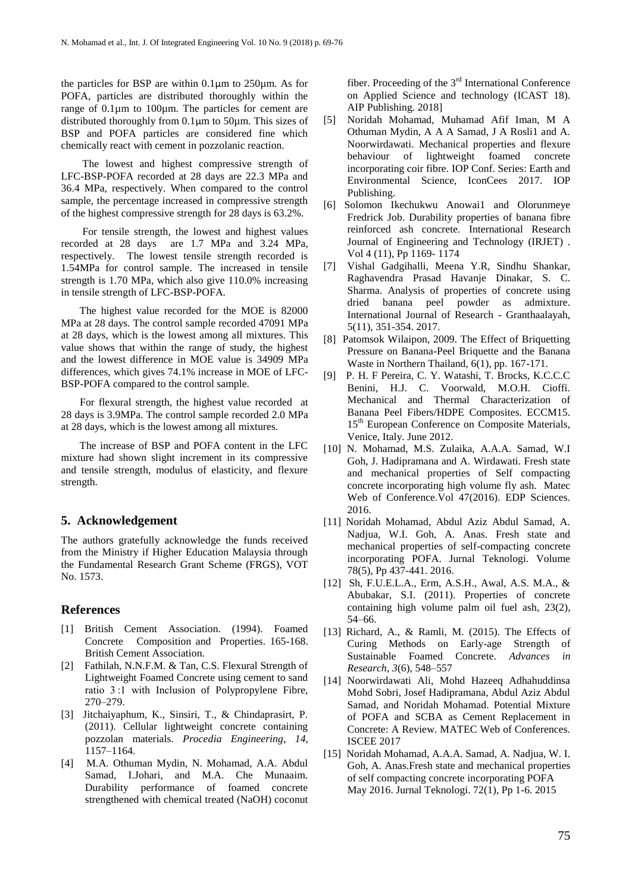the particles for BSP are within 0.1µm to 250µm. As for POFA, particles are distributed thoroughly within the range of 0.1µm to 100µm. The particles for cement are distributed thoroughly from 0.1µm to 50µm. This sizes of BSP and POFA particles are considered fine which chemically react with cement in pozzolanic reaction.

 The lowest and highest compressive strength of LFC-BSP-POFA recorded at 28 days are 22.3 MPa and 36.4 MPa, respectively. When compared to the control sample, the percentage increased in compressive strength of the highest compressive strength for 28 days is 63.2%.

 For tensile strength, the lowest and highest values recorded at 28 days are 1.7 MPa and 3.24 MPa, respectively. The lowest tensile strength recorded is 1.54MPa for control sample. The increased in tensile strength is 1.70 MPa, which also give 110.0% increasing in tensile strength of LFC-BSP-POFA.

 The highest value recorded for the MOE is 82000 MPa at 28 days. The control sample recorded 47091 MPa at 28 days, which is the lowest among all mixtures. This value shows that within the range of study, the highest and the lowest difference in MOE value is 34909 MPa differences, which gives 74.1% increase in MOE of LFC-BSP-POFA compared to the control sample.

 For flexural strength, the highest value recorded at 28 days is 3.9MPa. The control sample recorded 2.0 MPa at 28 days, which is the lowest among all mixtures.

 The increase of BSP and POFA content in the LFC mixture had shown slight increment in its compressive and tensile strength, modulus of elasticity, and flexure strength.

#### **5. Acknowledgement**

The authors gratefully acknowledge the funds received from the Ministry if Higher Education Malaysia through the Fundamental Research Grant Scheme (FRGS), VOT No. 1573.

### **References**

- [1] British Cement Association. (1994). Foamed Concrete Composition and Properties. 165-168. British Cement Association.
- [2] Fathilah, N.N.F.M. & Tan, C.S. Flexural Strength of Lightweight Foamed Concrete using cement to sand ratio 3 :1 with Inclusion of Polypropylene Fibre, 270–279.
- [3] Jitchaiyaphum, K., Sinsiri, T., & Chindaprasirt, P. (2011). Cellular lightweight concrete containing pozzolan materials. *Procedia Engineering*, *14*, 1157–1164.
- [4] M.A. Othuman Mydin, N. Mohamad, A.A. Abdul Samad, I.Johari, and M.A. Che Munaaim. Durability performance of foamed concrete strengthened with chemical treated (NaOH) coconut

fiber. Proceeding of the 3rd International Conference on Applied Science and technology (ICAST 18). AIP Publishing. 2018]

- [5] Noridah Mohamad, Muhamad Afif Iman, M A Othuman Mydin, A A A Samad, J A Rosli1 and A. Noorwirdawati. Mechanical properties and flexure behaviour of lightweight foamed concrete incorporating coir fibre. IOP Conf. Series: Earth and Environmental Science, IconCees 2017. IOP Publishing.
- [6] Solomon Ikechukwu Anowai1 and Olorunmeye Fredrick Job. Durability properties of banana fibre reinforced ash concrete. International Research Journal of Engineering and Technology (IRJET) . Vol 4 (11), Pp 1169- 1174
- [7] Vishal Gadgihalli, Meena Y.R, Sindhu Shankar, Raghavendra Prasad Havanje Dinakar, S. C. Sharma. Analysis of properties of concrete using dried banana peel powder as admixture. International Journal of Research - Granthaalayah, 5(11), 351-354. 2017.
- [8] Patomsok Wilaipon, 2009. The Effect of Briquetting Pressure on Banana-Peel Briquette and the Banana Waste in Northern Thailand, 6(1), pp. 167-171.
- [9] P. H. F Pereira, C. Y. Watashi, T. Brocks, K.C.C.C Benini, H.J. C. Voorwald, M.O.H. Cioffi. Mechanical and Thermal Characterization of Banana Peel Fibers/HDPE Composites. ECCM15. 15<sup>th</sup> European Conference on Composite Materials, Venice, Italy. June 2012.
- [10] N. Mohamad, M.S. Zulaika, A.A.A. Samad, W.I Goh, J. Hadipramana and A. Wirdawati. Fresh state and mechanical properties of Self compacting concrete incorporating high volume fly ash. Matec Web of Conference.Vol 47(2016). EDP Sciences. 2016.
- [11] Noridah Mohamad, Abdul Aziz Abdul Samad, A. Nadjua, W.I. Goh, A. Anas. Fresh state and mechanical properties of self-compacting concrete incorporating POFA. Jurnal Teknologi. Volume 78(5), Pp 437-441. 2016.
- [12] Sh, F.U.E.L.A., Erm, A.S.H., Awal, A.S. M.A., & Abubakar, S.I. (2011). Properties of concrete containing high volume palm oil fuel ash, 23(2), 54–66.
- [13] Richard, A., & Ramli, M. (2015). The Effects of Curing Methods on Early-age Strength of Sustainable Foamed Concrete. *Advances in Research*, *3*(6), 548–557
- [14] Noorwirdawati Ali, Mohd Hazeeq Adhahuddinsa Mohd Sobri, Josef Hadipramana, Abdul Aziz Abdul Samad, and Noridah Mohamad. Potential Mixture of POFA and SCBA as Cement Replacement in Concrete: A Review. MATEC Web of Conferences. ISCEE 2017
- [15] Noridah Mohamad, A.A.A. Samad, A. Nadjua, W. I. Goh, A. Anas.Fresh state and mechanical properties of self compacting concrete incorporating POFA May 2016. Jurnal Teknologi. 72(1), Pp 1-6. 2015